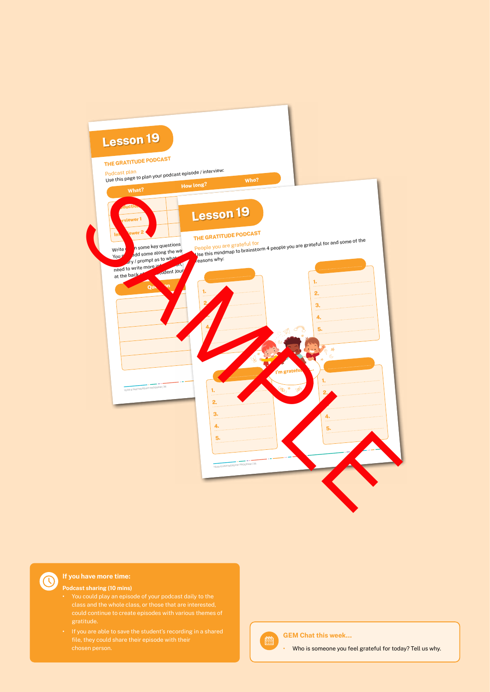



#### **If you have more time:**

#### **Podcast sharing (10 mins)**

- class and the whole class, or those that are interested,
- **•** If you are able to save the student's recording in a shared



#### **GEM Chat this week…**

**•** Who is someone you feel grateful for today? Tell us why.